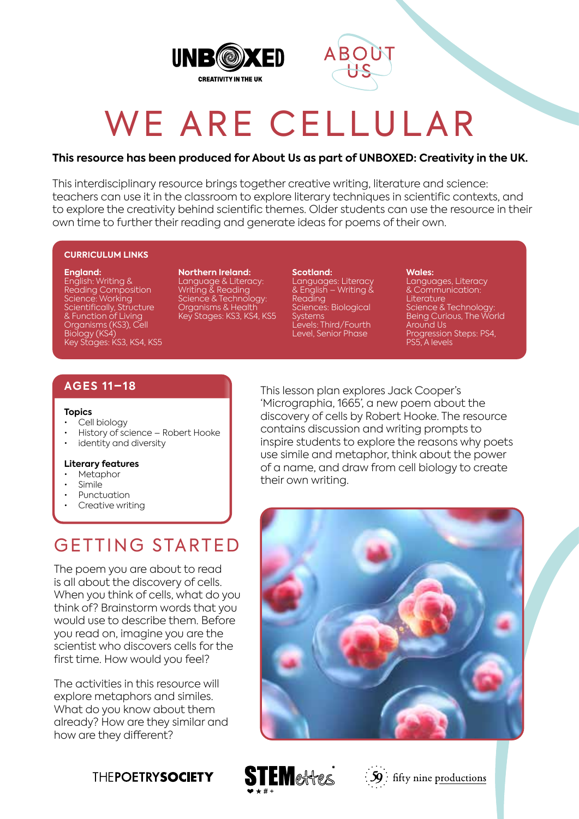



# WE ARE CELLULAR

#### **This resource has been produced for About Us as part of UNBOXED: Creativity in the UK.**

This interdisciplinary resource brings together creative writing, literature and science: teachers can use it in the classroom to explore literary techniques in scientific contexts, and to explore the creativity behind scientific themes. Older students can use the resource in their own time to further their reading and generate ideas for poems of their own.

#### **CURRICULUM LINKS**

#### **England:**

English: Writing & Reading Composition Science: Working Scientifically, Structure & Function of Living Organisms (KS3), Cell Biology (KS4) Key Stages: KS3, KS4, KS5 **Northern Ireland:** Language & Literacy: Writing & Reading Science & Technology: Organisms & Health Key Stages: KS3, KS4, KS5

#### **Scotland:**

Languages: Literacy & English – Writing & **Reading** Sciences: Biological Systems Levels: Third/Fourth Level, Senior Phase

#### **Wales:**

Languages, Literacy & Communication: **Literature** Science & Technology: Being Curious, The World Around Us Progression Steps: PS4, PS5, A levels

#### **AGES 11–18**

#### **Topics**

- Cell biology
- History of science Robert Hooke
- identity and diversity

#### **Literary features**

- **Metaphor**
- Simile
- **Punctuation**
- Creative writing

# GETTING STARTED

The poem you are about to read is all about the discovery of cells. When you think of cells, what do you think of? Brainstorm words that you would use to describe them. Before you read on, imagine you are the scientist who discovers cells for the first time. How would you feel?

The activities in this resource will explore metaphors and similes. What do you know about them already? How are they similar and how are they different?

This lesson plan explores Jack Cooper's 'Micrographia, 1665', a new poem about the discovery of cells by Robert Hooke. The resource contains discussion and writing prompts to inspire students to explore the reasons why poets use simile and metaphor, think about the power of a name, and draw from cell biology to create their own writing.









 $\frac{1}{2}\mathbf{59}$  fifty nine productions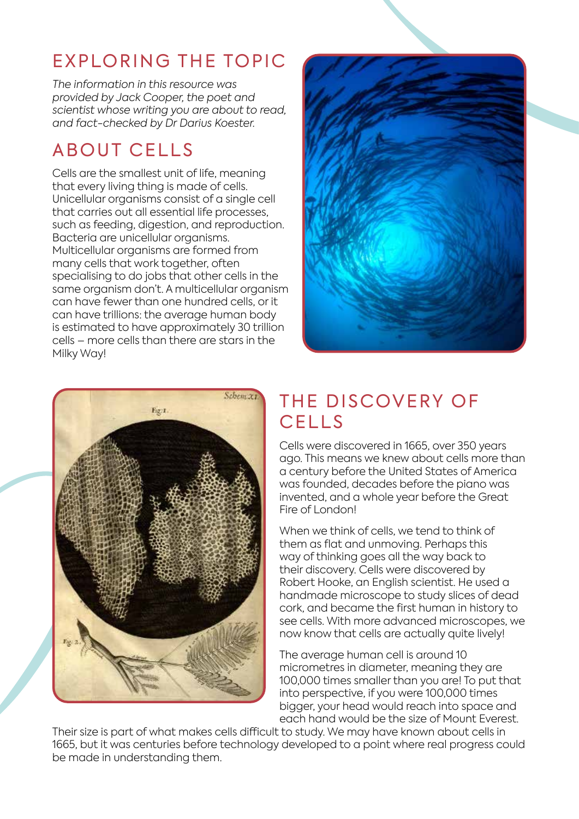# EXPLORING THE TOPIC

*The information in this resource was provided by Jack Cooper, the poet and scientist whose writing you are about to read, and fact-checked by Dr Darius Koester.*

# ABOUT CELLS

Cells are the smallest unit of life, meaning that every living thing is made of cells. Unicellular organisms consist of a single cell that carries out all essential life processes, such as feeding, digestion, and reproduction. Bacteria are unicellular organisms. Multicellular organisms are formed from many cells that work together, often specialising to do jobs that other cells in the same organism don't. A multicellular organism can have fewer than one hundred cells, or it can have trillions: the average human body is estimated to have approximately 30 trillion cells – more cells than there are stars in the Milky Way!





# THE DISCOVERY OF **CELLS**

Cells were discovered in 1665, over 350 years ago. This means we knew about cells more than a century before the United States of America was founded, decades before the piano was invented, and a whole year before the Great Fire of London!

When we think of cells, we tend to think of them as flat and unmoving. Perhaps this way of thinking goes all the way back to their discovery. Cells were discovered by Robert Hooke, an English scientist. He used a handmade microscope to study slices of dead cork, and became the first human in history to see cells. With more advanced microscopes, we now know that cells are actually quite lively!

The average human cell is around 10 micrometres in diameter, meaning they are 100,000 times smaller than you are! To put that into perspective, if you were 100,000 times bigger, your head would reach into space and each hand would be the size of Mount Everest.

Their size is part of what makes cells difficult to study. We may have known about cells in 1665, but it was centuries before technology developed to a point where real progress could be made in understanding them.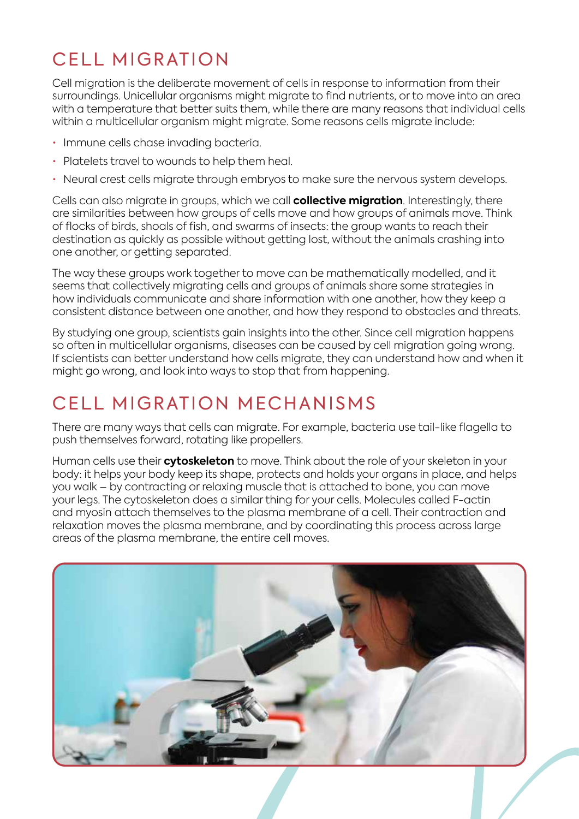# CELL MIGRATION

Cell migration is the deliberate movement of cells in response to information from their surroundings. Unicellular organisms might migrate to find nutrients, or to move into an area with a temperature that better suits them, while there are many reasons that individual cells within a multicellular organism might migrate. Some reasons cells migrate include:

- Immune cells chase invading bacteria.
- Platelets travel to wounds to help them heal.
- Neural crest cells migrate through embryos to make sure the nervous system develops.

Cells can also migrate in groups, which we call **collective migration**. Interestingly, there are similarities between how groups of cells move and how groups of animals move. Think of flocks of birds, shoals of fish, and swarms of insects: the group wants to reach their destination as quickly as possible without getting lost, without the animals crashing into one another, or getting separated.

The way these groups work together to move can be mathematically modelled, and it seems that collectively migrating cells and groups of animals share some strategies in how individuals communicate and share information with one another, how they keep a consistent distance between one another, and how they respond to obstacles and threats.

By studying one group, scientists gain insights into the other. Since cell migration happens so often in multicellular organisms, diseases can be caused by cell migration going wrong. If scientists can better understand how cells migrate, they can understand how and when it might go wrong, and look into ways to stop that from happening.

# CELL MIGRATION MECHANISMS

There are many ways that cells can migrate. For example, bacteria use tail-like flagella to push themselves forward, rotating like propellers.

Human cells use their **cytoskeleton** to move. Think about the role of your skeleton in your body: it helps your body keep its shape, protects and holds your organs in place, and helps you walk – by contracting or relaxing muscle that is attached to bone, you can move your legs. The cytoskeleton does a similar thing for your cells. Molecules called F-actin and myosin attach themselves to the plasma membrane of a cell. Their contraction and relaxation moves the plasma membrane, and by coordinating this process across large areas of the plasma membrane, the entire cell moves.

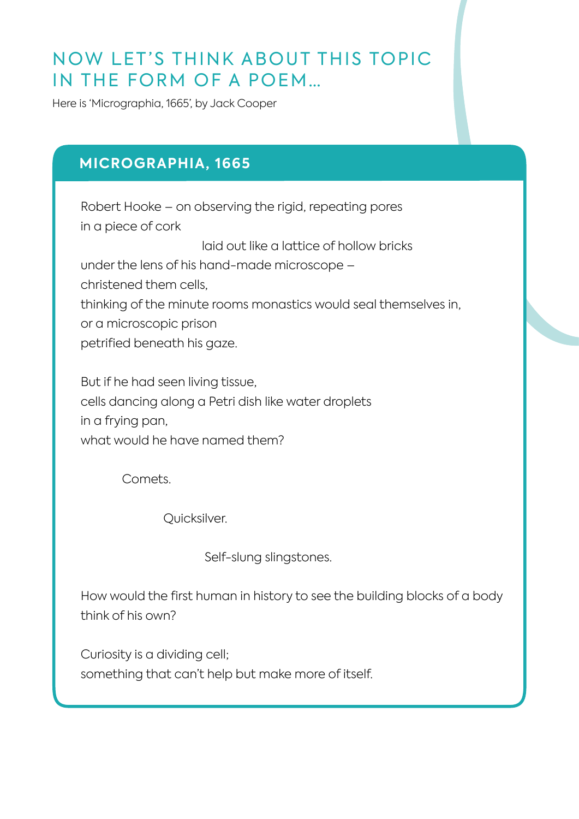## NOW LET'S THINK ABOUT THIS TOPIC IN THE FORM OF A POEM…

Here is 'Micrographia, 1665', by Jack Cooper

### **MICROGRAPHIA, 1665**

Robert Hooke – on observing the rigid, repeating pores in a piece of cork

laid out like a lattice of hollow bricks

under the lens of his hand-made microscope – christened them cells, thinking of the minute rooms monastics would seal themselves in, or a microscopic prison petrified beneath his gaze.

But if he had seen living tissue, cells dancing along a Petri dish like water droplets in a frying pan, what would he have named them?

Comets.

Quicksilver.

Self-slung slingstones.

How would the first human in history to see the building blocks of a body think of his own?

Curiosity is a dividing cell; something that can't help but make more of itself.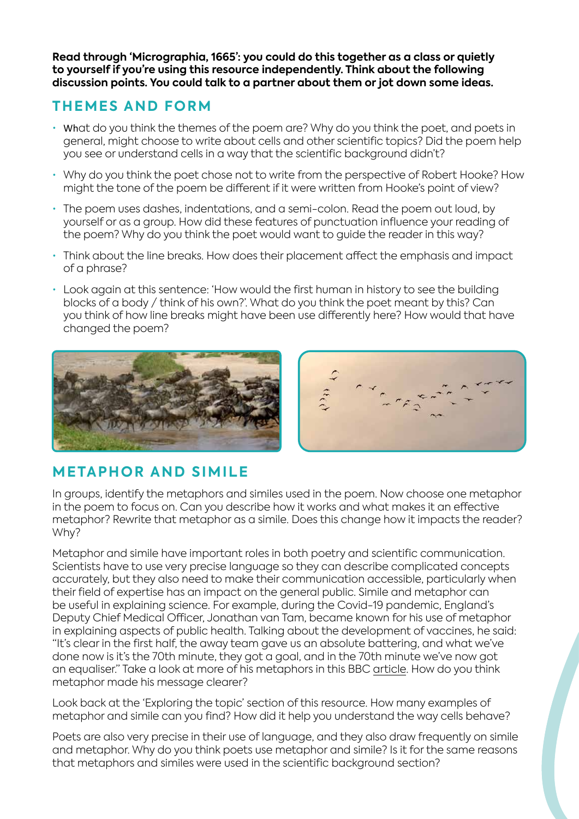**Read through 'Micrographia, 1665': you could do this together as a class or quietly to yourself if you're using this resource independently. Think about the following discussion points. You could talk to a partner about them or jot down some ideas.**

### **THEMES AND FORM**

- What do you think the themes of the poem are? Why do you think the poet, and poets in general, might choose to write about cells and other scientific topics? Did the poem help you see or understand cells in a way that the scientific background didn't?
- Why do you think the poet chose not to write from the perspective of Robert Hooke? How might the tone of the poem be different if it were written from Hooke's point of view?
- The poem uses dashes, indentations, and a semi-colon. Read the poem out loud, by yourself or as a group. How did these features of punctuation influence your reading of the poem? Why do you think the poet would want to guide the reader in this way?
- Think about the line breaks. How does their placement affect the emphasis and impact of a phrase?
- Look again at this sentence: 'How would the first human in history to see the building blocks of a body / think of his own?'. What do you think the poet meant by this? Can you think of how line breaks might have been use differently here? How would that have changed the poem?





### **METAPHOR AND SIMILE**

In groups, identify the metaphors and similes used in the poem. Now choose one metaphor in the poem to focus on. Can you describe how it works and what makes it an effective metaphor? Rewrite that metaphor as a simile. Does this change how it impacts the reader? Why?

Metaphor and simile have important roles in both poetry and scientific communication. Scientists have to use very precise language so they can describe complicated concepts accurately, but they also need to make their communication accessible, particularly when their field of expertise has an impact on the general public. Simile and metaphor can be useful in explaining science. For example, during the Covid-19 pandemic, England's Deputy Chief Medical Officer, Jonathan van Tam, became known for his use of metaphor in explaining aspects of public health. Talking about the development of vaccines, he said: "It's clear in the first half, the away team gave us an absolute battering, and what we've done now is it's the 70th minute, they got a goal, and in the 70th minute we've now got an equaliser." Take a look at more of his metaphors in this BBC article. How do you think metaphor made his message clearer?

Look back at the 'Exploring the topic' section of this resource. How many examples of metaphor and simile can you find? How did it help you understand the way cells behave?

Poets are also very precise in their use of language, and they also draw frequently on simile and metaphor. Why do you think poets use metaphor and simile? Is it for the same reasons that metaphors and similes were used in the scientific background section?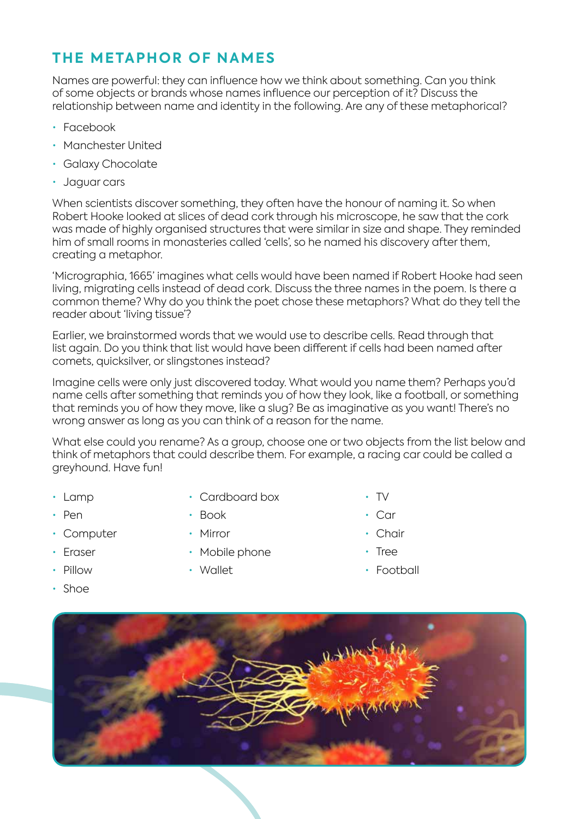### **THE METAPHOR OF NAMES**

Names are powerful: they can influence how we think about something. Can you think of some objects or brands whose names influence our perception of it? Discuss the relationship between name and identity in the following. Are any of these metaphorical?

- Facebook
- Manchester United
- Galaxy Chocolate
- Jaguar cars

When scientists discover something, they often have the honour of naming it. So when Robert Hooke looked at slices of dead cork through his microscope, he saw that the cork was made of highly organised structures that were similar in size and shape. They reminded him of small rooms in monasteries called 'cells', so he named his discovery after them, creating a metaphor.

'Micrographia, 1665' imagines what cells would have been named if Robert Hooke had seen living, migrating cells instead of dead cork. Discuss the three names in the poem. Is there a common theme? Why do you think the poet chose these metaphors? What do they tell the reader about 'living tissue'?

Earlier, we brainstormed words that we would use to describe cells. Read through that list again. Do you think that list would have been different if cells had been named after comets, quicksilver, or slingstones instead?

Imagine cells were only just discovered today. What would you name them? Perhaps you'd name cells after something that reminds you of how they look, like a football, or something that reminds you of how they move, like a slug? Be as imaginative as you want! There's no wrong answer as long as you can think of a reason for the name.

What else could you rename? As a group, choose one or two objects from the list below and think of metaphors that could describe them. For example, a racing car could be called a greyhound. Have fun!

- Lamp
- Pen
- Computer
- Eraser
- Pillow
- Shoe
- Cardboard box
- Book
- Mirror
- Mobile phone
- Wallet
- TV
- Car
- Chair
- Tree
- Football

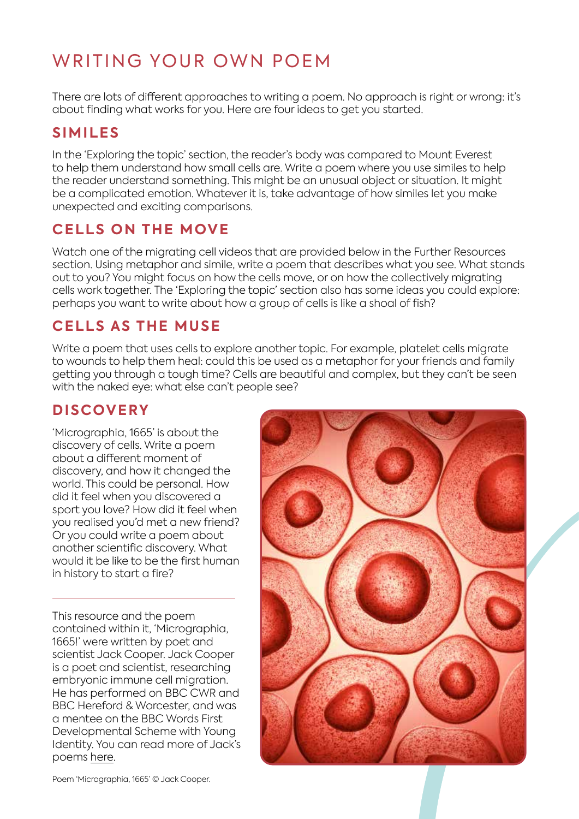# WRITING YOUR OWN POEM

There are lots of different approaches to writing a poem. No approach is right or wrong: it's about finding what works for you. Here are four ideas to get you started.

#### **SIMILES**

In the 'Exploring the topic' section, the reader's body was compared to Mount Everest to help them understand how small cells are. Write a poem where you use similes to help the reader understand something. This might be an unusual object or situation. It might be a complicated emotion. Whatever it is, take advantage of how similes let you make unexpected and exciting comparisons.

### **CELLS ON THE MOVE**

Watch one of the migrating cell videos that are provided below in the Further Resources section. Using metaphor and simile, write a poem that describes what you see. What stands out to you? You might focus on how the cells move, or on how the collectively migrating cells work together. The 'Exploring the topic' section also has some ideas you could explore: perhaps you want to write about how a group of cells is like a shoal of fish?

### **CELLS AS THE MUSE**

Write a poem that uses cells to explore another topic. For example, platelet cells migrate to wounds to help them heal: could this be used as a metaphor for your friends and family getting you through a tough time? Cells are beautiful and complex, but they can't be seen with the naked eye: what else can't people see?

### **DISCOVERY**

'Micrographia, 1665' is about the discovery of cells. Write a poem about a different moment of discovery, and how it changed the world. This could be personal. How did it feel when you discovered a sport you love? How did it feel when you realised you'd met a new friend? Or you could write a poem about another scientific discovery. What would it be like to be the first human in history to start a fire?

This resource and the poem contained within it, 'Micrographia, 1665!' were written by poet and scientist Jack Cooper. Jack Cooper is a poet and scientist, researching embryonic immune cell migration. He has performed on BBC CWR and BBC Hereford & Worcester, and was a mentee on the BBC Words First Developmental Scheme with Young Identity. You can read more of Jack's poems here.



Poem 'Micrographia, 1665' © Jack Cooper.